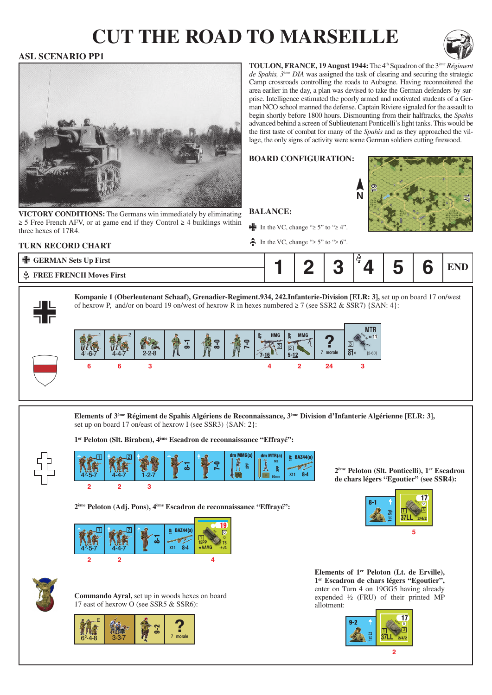# **cut the road to marseille**



### **ASL SCENARIO PP1**



**VICTORY CONDITIONS:** The Germans win immediately by eliminating ≥ 5 Free French AFV, or at game end if they Control ≥ 4 buildings within three hexes of 17R4.

**toulon, france, 19 August 1944:** The 4th Squadron of the 3*ème Régiment de Spahis, 3ème DIA* was assigned the task of clearing and securing the strategic Camp crossroads controlling the roads to Aubagne. Having reconnoitered the area earlier in the day, a plan was devised to take the German defenders by surprise. Intelligence estimated the poorly armed and motivated students of a German NCO school manned the defense. Captain Riviere signaled for the assault to begin shortly before 1800 hours. Dismounting from their halftracks, the *Spahis* advanced behind a screen of Sublieutenant Ponticelli's light tanks. This would be the first taste of combat for many of the *Spahis* and as they approached the village, the only signs of activity were some German soldiers cutting firewood.

**N**

#### **Board configuration:**



#### **Turn record chart**

In the VC, change "≥ 5" to "≥ 4". In the VC, change "≥ 5" to "≥ 6".





**Kompanie 1 (Oberleutenant Schaaf), Grenadier-Regiment.934, 242.Infanterie-Division [ELR: 3],** set up on board 17 on/west of hexrow P, and/or on board 19 on/west of hexrow R in hexes numbered  $\geq 7$  (see SSR2 & SSR7) {SAN: 4}:

**Balance:**



**Elements of 3ème Régiment de Spahis Algériens de Reconnaissance, 3ème Division d'Infanterie Algérienne [ELR: 3],**  set up on board 17 on/east of hexrow I (see SSR3) {SAN: 2}:

**1er Peloton (Slt. Biraben), 4ème Escadron de reconnaissance "Effrayé":**



**2 2 3** <u>ন্তু</u>  $4<sup>2</sup>$  $-5 - 7$  $E$  BAZ44(a)  $X11$ 4-4-7 | 1-2-7 | K | K | K | K | K | B | 60mm | X11 8-4  $1 - 2 - 7$ 7-0 忌 dm MMG(a) ಣ್ಣ dm MTR(a) 60mm M2

**2ème Peloton (Adj. Pons), 4ème Escadron de reconnaissance "Effrayé":**

| I | œ | <b>BAZ44(a)</b><br>운<br>8-4<br><b>X11</b> | $\overline{0}$<br>*AAMG<br>$-1 - 14$ |
|---|---|-------------------------------------------|--------------------------------------|
|   |   |                                           |                                      |



**Commando Ayral,** set up in woods hexes on board 17 east of hexrow O (see SSR5 & SSR6):



Elements of 1<sup>er</sup> Peloton (Lt. de Erville), **1er Escadron de chars légers "Egoutier",**  enter on Turn 4 on 19GG5 having already expended ½ (FRU) of their printed MP allotment:





**2ème Peloton (Slt. Ponticelli), 1er Escadron de chars légers "Egoutier" (see SSR4):**